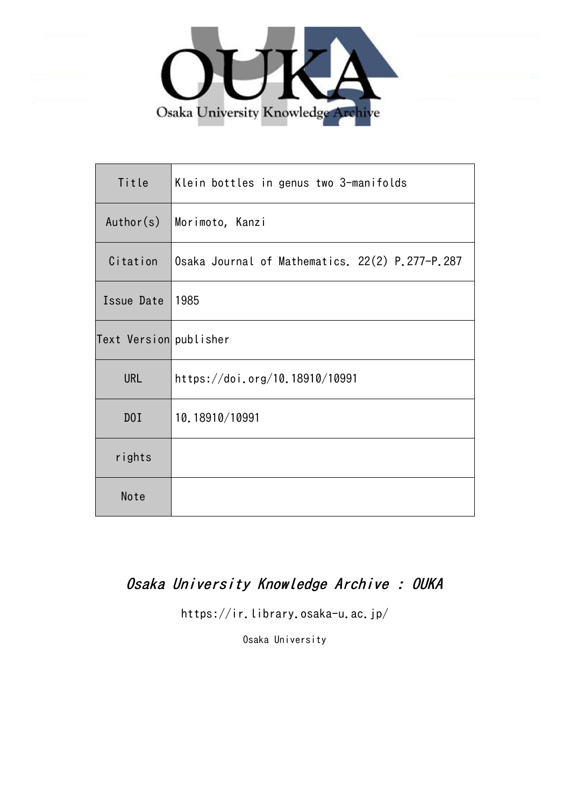

| Title                  | Klein bottles in genus two 3-manifolds          |
|------------------------|-------------------------------------------------|
| Author(s)              | Morimoto, Kanzi                                 |
| Citation               | Osaka Journal of Mathematics. 22(2) P.277-P.287 |
| Issue Date             | 1985                                            |
| Text Version publisher |                                                 |
| <b>URL</b>             | https://doi.org/10.18910/10991                  |
| D0I                    | 10.18910/10991                                  |
| rights                 |                                                 |
| Note                   |                                                 |

# Osaka University Knowledge Archive : OUKA

https://ir.library.osaka-u.ac.jp/

Osaka University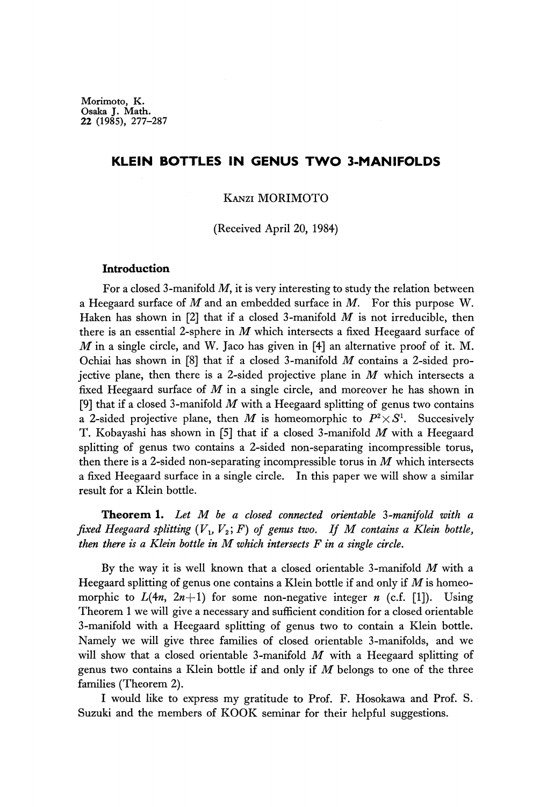**Morimoto, K. Osaka J. Math. 22 (1985), 277-287**

### **KLEIN BOTTLES IN GENUS TWO 3-MANIFOLDS**

### KANZI MORIMOTO

(Received April 20, 1984)

### **Introduction**

For a closed 3-manifold  $M$ , it is very interesting to study the relation between a Heegaard surface of *M* and an embedded surface in *M.* For this purpose W. Haken has shown in [2] that if a closed 3-manifold *M* is not irreducible, then there is an essential 2-sphere in *M* which intersects a fixed Heegaard surface of *M* in a single circle, and W. Jaco has given in [4] an alternative proof of it. M. Ochiai has shown in [8] that if a closed 3-manifold *M* contains a 2-sided pro jective plane, then there is a 2-sided projective plane in *M* which intersects a fixed Heegaard surface of *M* in a single circle, and moreover he has shown in [9] that if a closed 3-manifold *M* with a Heegaard splitting of genus two contains a 2-sided projective plane, then M is homeomorphic to  $P^2 \times S^1$ . Succesively T. Kobayashi has shown in [5] that if a closed 3-manifold *M* with a Heegaard splitting of genus two contains a 2-sided non-separating incompressible torus, then there is a 2-sided non-separating incompressible torus in *M* which intersects a fixed Heegaard surface in a single circle. In this paper we will show a similar result for a Klein bottle.

**Theorem 1.** *Let M be a closed connected orίentable* 3*-manifold with a fixed Heegaard splitting*  $(V_1, V_2; F)$  *of genus two.* If M contains a Klein bottle, *then there is a Klein bottle in M which intersects F in a single circle.*

By the way it is well known that a closed orientable 3-manifold *M* with a Heegaard splitting of genus one contains a Klein bottle if and only if *M* is homeo morphic to  $L(4n, 2n+1)$  for some non-negative integer *n* (c.f. [1]). Using Theorem 1 we will give a necessary and sufficient condition for a closed orientable 3-manifold with a Heegaard splitting of genus two to contain a Klein bottle. Namely we will give three families of closed orientable 3-manifolds, and we will show that a closed orientable 3-manifold *M* with a Heegaard splitting of genus two contains a Klein bottle if and only if *M* belongs to one of the three families (Theorem 2).

I would like to express my gratitude to Prof. F. Hosokawa and Prof. S. Suzuki and the members of KOOK seminar for their helpful suggestions.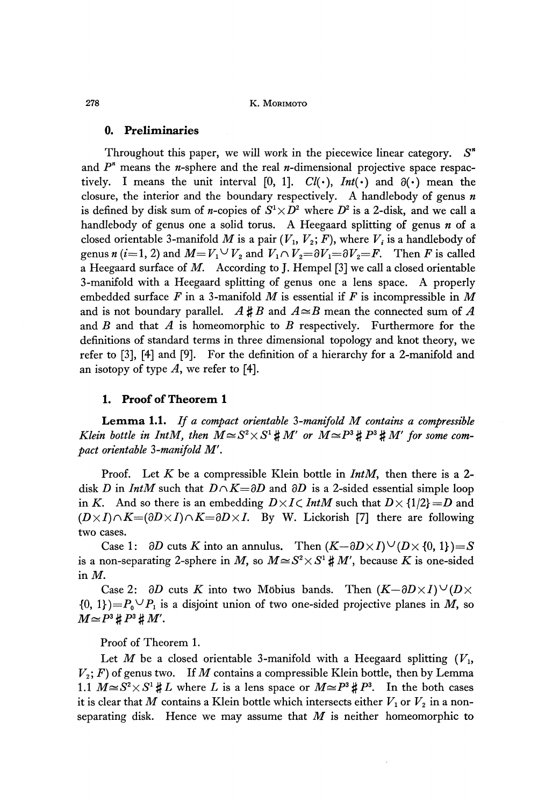### **0. Preliminaries**

Throughout this paper, we will work in the piecewice linear category. *S<sup>n</sup>* and  $P^*$  means the *n*-sphere and the real *n*-dimensional projective space respac tively. I means the unit interval [0, 1].  $Cl(\cdot)$ ,  $Int(\cdot)$  and  $\partial(\cdot)$  mean the closure, the interior and the boundary respectively. A handlebody of genus *n* is defined by disk sum of *n*-copies of  $S^1 \times D^2$  where  $D^2$  is a 2-disk, and we call a handlebody of genus one a solid torus. A Heegaard splitting of genus *n* of a closed orientable 3-manifold  $M$  is a pair  $(V_1, V_2; F)$ , where  $V_i$  is a handlebody of genus  $n(i=1, 2)$  and  $M=V_1\vee V_2$  and  $V_1\cap V_2= \partial V_1= \partial V_2 = F$ . Then *F* is called a Heegaard surface of *M.* According to J. Hempel [3] we call a closed orientable 3-manifold with a Heegaard splitting of genus one a lens space. A properly embedded surface *F* in a 3-manifold *M* is essential if *F* is incompressible in *M* and is not boundary parallel.  $A \sharp B$  and  $A \cong B$  mean the connected sum of A and *B* and that *A* is homeomorphic to *B* respectively. Furthermore for the definitions of standard terms in three dimensional topology and knot theory, we refer to [3], [4] and [9]. For the definition of a hierarchy for a 2-manifold and an isotopy of type *A,* we refer to [4].

### **1. Proof of Theorem 1**

**Lemma 1.1.** *If a compact orientable* 3 *-manifold M contains a compressible Klein bottle in IntM, then*  $M \approx S^2 \times S^1 \sharp M'$  or  $M \approx P^3 \sharp P^3 \sharp M'$  for some com*pact orientable* 3*-manifold M'.*

Proof. Let *K* be a compressible Klein bottle in *IntM*, then there is a 2disk *D* in *IntM* such that  $D \cap K = \partial D$  and  $\partial D$  is a 2-sided essential simple loop in *K*. And so there is an embedding  $D \times I \subset Int M$  such that  $D \times \{1/2\} = D$  and  $(D \times I) \cap K = (\partial D \times I) \cap K = \partial D \times I$ . By W. Lickorish [7] there are following two cases.

Case 1:  $\partial D$  cuts K into an annulus. Then  $(K-\partial D\times I)\vee (D\times \{0, 1\})=S$ is a non-separating 2-sphere in M, so  $M \cong S^2 \times S^1 \sharp M'$ , because K is one-sided in *M.*

Case 2:  $\partial D$  cuts K into two Möbius bands. Then  $(K-\partial D\times I) \cup (D\times I)$  $\{0, 1\}$  =  $P_0^{\circ} \vee P_1^{\circ}$  is a disjoint union of two one-sided projective planes in M, so  $M \simeq P^3 \sharp P^3 \sharp M'.$ 

Proof of Theorem 1.

Let *M* be a closed orientable 3-manifold with a Heegaard splitting  $(V_1,$ *V2 ; F)* of genus two. If *M* contains a compressible Klein bottle, then by Lemma 1.1  $M \approx S^2 \times S^1 \sharp L$  where *L* is a lens space or  $M \approx P^3 \sharp P^3$ . In the both cases it is clear that  $M$  contains a Klein bottle which intersects either  $V_1$  or  $V_2$  in a non separating disk. Hence we may assume that *M* is neither homeomorphic to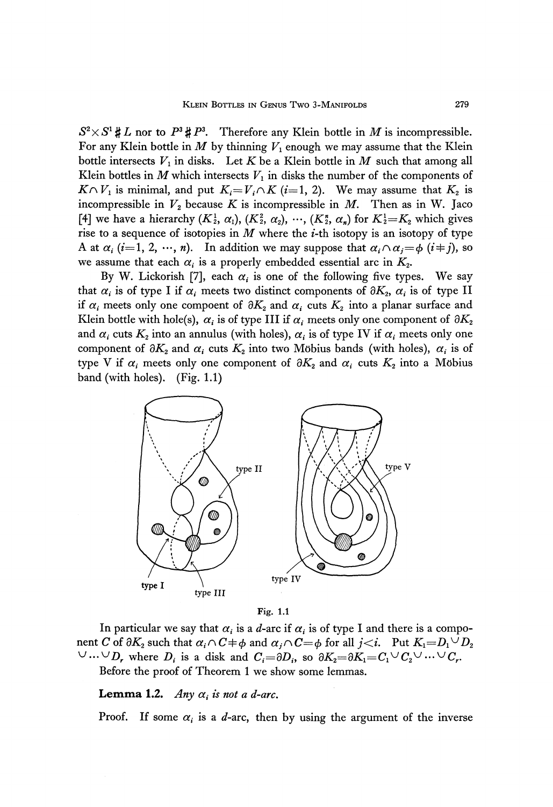$S^2 \times S^1 \sharp L$  nor to  $P^3 \sharp P^3$ . Therefore any Klein bottle in *M* is incompressible. For any Klein bottle in  $M$  by thinning  $V_1$  enough we may assume that the Klein bottle intersects  $V_1$  in disks. Let  $K$  be a Klein bottle in  $M$  such that among all Klein bottles in  $M$  which intersects  $V_1$  in disks the number of the components of  $K \cap V_1$  is minimal, and put  $K_i = V_i \cap K$  (*i*=1, 2). We may assume that  $K_2$  is incompressible in *V<sup>2</sup>* because *K* is incompressible in *M.* Then as in W. Jaco [4] we have a hierarchy  $(K_2^1, \alpha_1), (K_2^2, \alpha_2), \cdots, (K_2^n, \alpha_n)$  for  $K_2^1 = K_2$  which gives rise to a sequence of isotopies in  $M$  where the  $i$ -th isotopy is an isotopy of type A at  $\alpha_i$  (i=1, 2,  $\cdots$ , n). In addition we may suppose that  $\alpha_i \wedge \alpha_j = \phi$  (i + j), so we assume that each  $\alpha_i$  is a properly embedded essential arc in  $K_2$ .

By W. Lickorish [7], each  $\alpha_i$  is one of the following five types. We say that  $\alpha_i$  is of type I if  $\alpha_i$  meets two distinct components of  $\partial K_2$ ,  $\alpha_i$  is of type II if  $\alpha_i$  meets only one compoent of  $\partial K_2$  and  $\alpha_i$  cuts  $K_2$  into a planar surface and Klein bottle with hole(s),  $\alpha_{i}$  is of type III if  $\alpha_{i}$  meets only one component of  $\partial K_{2}$ and  $\alpha_{i}$  cuts  $K_{2}$  into an annulus (with holes),  $\alpha_{i}$  is of type IV if  $\alpha_{i}$  meets only one component of  $\partial K_2$  and  $\alpha_i$  cuts  $K_2$  into two Möbius bands (with holes),  $\alpha_i$  is of type V if  $\alpha_i$  meets only one component of  $\partial K_2$  and  $\alpha_i$  cuts  $K_2$  into a Möbius band (with holes). (Fig. 1.1)



Fig. 1.1

In particular we say that  $\alpha_i$  is a *d*-arc if  $\alpha_i$  is of type I and there is a compo nent  $C$  of  $\partial K_2$  such that  $\alpha_i\cap C$   $\neq$   $\phi$  and  $\alpha_j\cap C$   $\!=$   $\phi$  for all  $j\!<$   $i$ . Put  $K_1$   $\!=$   $\!D_1$   $\!\vee$   $\!D_2$  $\vee \dots \vee D_r$  where  $D_i$  is a disk and  $C_i = \partial D_i$ , so  $\partial K_2 = \partial K_1 = C_1 \vee C_2 \vee \dots \vee C_r$ . Before the proof of Theorem 1 we show some lemmas.

Lemma 1.2. Any  $\alpha_i$  is not a d-arc.

Proof. If some  $\alpha_i$  is a *d*-arc, then by using the argument of the inverse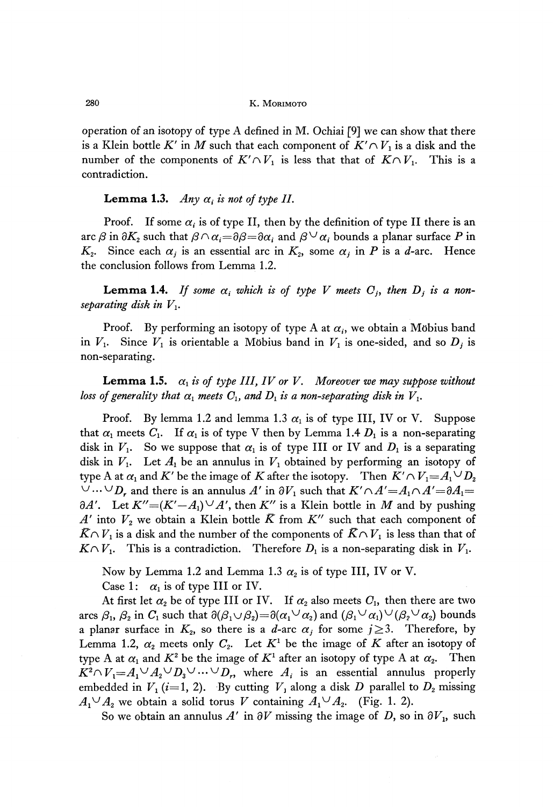operation of an isotopy of type A defined in M. Ochiai  $[9]$  we can show that there is a Klein bottle  $K'$  in  $M$  such that each component of  $K' \cap V_1$  is a disk and the number of the components of  $K' \cap V_1$  is less that that of  $K \cap V_1$ . This is a contradiction.

# **Lemma 1.3.** Any  $\alpha_i$  is not of type II.

Proof. If some  $\alpha_i$  is of type II, then by the definition of type II there is an arc  $\beta$  in  $\partial K_2$  such that  $\beta \cap \alpha_i{=}\partial \beta{=}\partial \alpha_i$  and  $\beta \vee \alpha_i$  bounds a planar surface  $P$  in *K*<sub>2</sub>. Since each  $\alpha_j$  is an essential arc in *K*<sub>2</sub>, some  $\alpha_j$  in *P* is a *d*-arc. Hence the conclusion follows from Lemma 1.2.

**Lemma 1.4.** If some  $\alpha_i$  which is of type V meets  $C_j$ , then  $D_j$  is a non*separating disk in Vι.*

Proof. By performing an isotopy of type A at  $\alpha_i$ , we obtain a Möbius band in  $V_1$ . Since  $V_1$  is orientable a Möbius band in  $V_1$  is one-sided, and so  $D_j$  is non-separating.

**Lemma 1.5.**  $\alpha_1$  is of type III, IV or V. Moreover we may suppose without *loss of generality that*  $\alpha_1$  meets  $C_1$ , and  $D_1$  is a non-separating disk in  $V_1$ .

Proof. By lemma 1.2 and lemma 1.3  $\alpha_1$  is of type III, IV or V. Suppose that  $\alpha_1$  meets  $C_1$ . If  $\alpha_1$  is of type V then by Lemma 1.4  $D_1$  is a non-separating disk in  $V_1$ . So we suppose that  $\alpha_1$  is of type III or IV and  $D_1$  is a separating disk in  $V_1$ . Let  $A_1$  be an annulus in  $V_1$  obtained by performing an isotopy of type A at  $\alpha_1$  and  $K'$  be the image of  $K$  after the isotopy. Then  $K' \cap V_1 = A_1^{\cup} \cup D_2$  $\cup \cdots \cup D_r$  and there is an annulus A' in  $\partial V_1$  such that  $K' \cap A' = A_1 \cap A' = \partial A_1 =$  $\partial A'$ . Let  $K''=(K'-A_1)\vee A'$ , then  $K''$  is a Klein bottle in M and by pushing  $A'$  into  $V_2$  we obtain a Klein bottle  $\bar{K}$  from  $K''$  such that each component of  $\bar{K} \cap V_1$  is a disk and the number of the components of  $\bar{K} \cap V_1$  is less than that of  $K \cap V_1$ . This is a contradiction. Therefore  $D_1$  is a non-separating disk in  $V_1$ .

Now by Lemma 1.2 and Lemma 1.3  $\alpha_2$  is of type III, IV or V. Case 1:  $\alpha_1$  is of type III or IV.

At first let  $\alpha_2$  be of type III or IV. If  $\alpha_2$  also meets  $C_1$ , then there are two arcs  $\beta_1$ ,  $\beta_2$  in  $C_1$  such that  $\partial(\beta_1 \cup \beta_2) = \partial(\alpha_1 \vee \alpha_2)$  and  $(\beta_1 \vee \alpha_1) \vee (\beta_2 \vee \alpha_2)$  bounds a planar surface in  $K_2$ , so there is a *d*-arc  $\alpha_j$  for some  $j \geq 3$ . Therefore, by Lemma 1.2,  $\alpha_2$  meets only  $C_2$ . Let  $K^1$  be the image of  $K$  after an isotopy of type A at  $\alpha_1$  and  $K^2$  be the image of  $K^1$  after an isotopy of type A at  $\alpha_2$ . Then  $K^2 \cap V_1 = A_1 \cup A_2 \cup D_3 \cup \dots \cup D_r$ , where  $A_i$  is an essential annulus properly embedded in  $V_1$  (*i*=1, 2). By cutting  $V_1$  along a disk  $D$  parallel to  $D_2$  missing we obtain a solid torus V containing  $A_1^{\cup} A_2$ . (Fig. 1. 2).

So we obtain an annulus  $A'$  in  $\partial V$  missing the image of D, so in  $\partial V$ <sub>1</sub>, such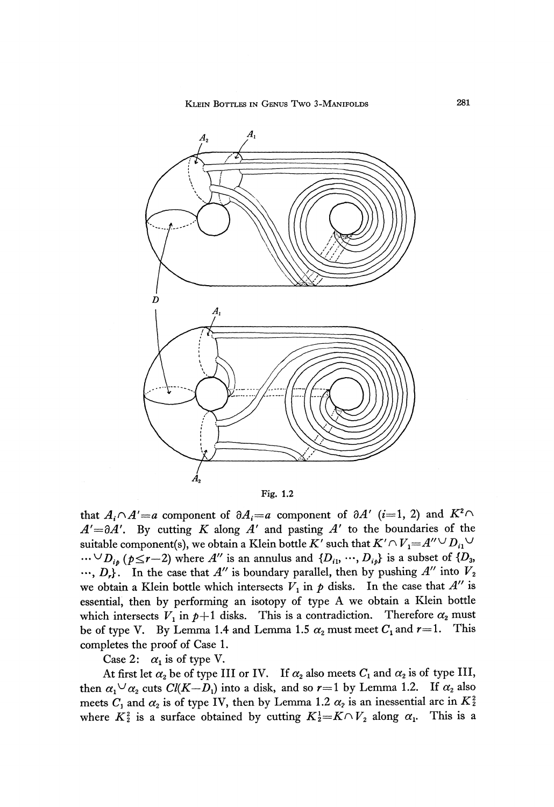

Fig. 1.2

that  $A_i \cap A' = a$  component of  $\partial A_i = a$  component of  $\partial A'$  (*i*=1, 2) and  $K^2 \cap$ *A'=dA<sup>r</sup> .* By cutting *K* along *A'* and pasting *A'* to the boundaries of the suitable component(s), we obtain a Klein bottle  $K'$  such that  $K' \cap V_1 {=} A''^\bigcup D_{i1}^\bigcup$  $\cdots$ <sup>D</sup><sub>ip</sub></sup> ( $p \le r-2$ ) where A'' is an annulus and  $\{D_{i1}, \cdots, D_{ip}\}$  is a subset of  $\{D_3, \cdots, D_{ip}\}$  $\cdots$ ,  $D_r$ }. In the case that  $A''$  is boundary parallel, then by pushing  $A''$  into  $V_2$ we obtain a Klein bottle which intersects  $V_1$  in  $p$  disks. In the case that  $A''$  is essential, then by performing an isotopy of type A we obtain a Klein bottle which intersects  $V_1$  in  $p+1$  disks. This is a contradiction. Therefore  $\alpha_2$  must be of type V. By Lemma 1.4 and Lemma 1.5  $\alpha_2$  must meet  $C_1$  and  $r=1$ . This completes the proof of Case 1.

Case 2:  $\alpha_1$  is of type V.

At first let  $\alpha_2$  be of type III or IV. If  $\alpha_2$  also meets  $C_1$  and  $\alpha_2$  is of type III, then  $\alpha_1^{\cup} \alpha_2^{\cdot}$  cuts  $Cl(K-D_1)$  into a disk, and so  $r=1$  by Lemma 1.2. If  $\alpha_2^{\cdot}$  also meets  $C_1$  and  $\alpha_2$  is of type IV, then by Lemma 1.2  $\alpha_2$  is an inessential arc in  $K_2^2$ where  $K_2^2$  is a surface obtained by cutting  $K_2^1 = K \cap V_2$  along  $\alpha_1$ . This is a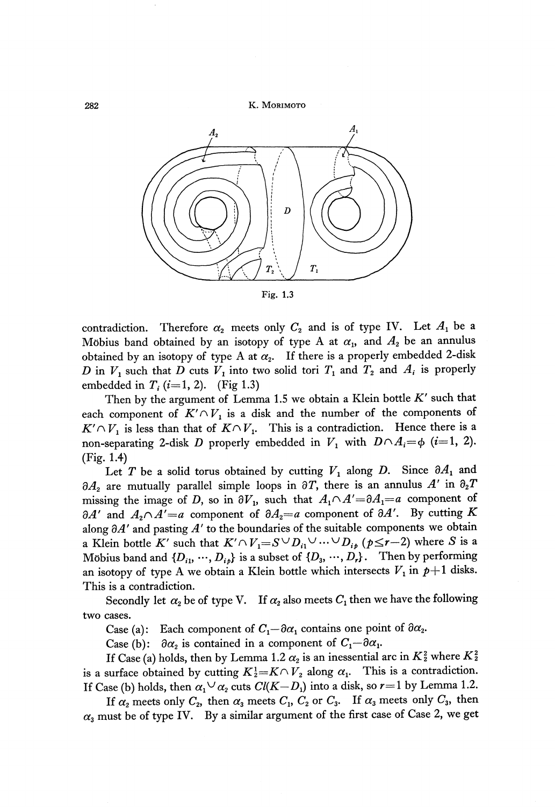282 **K. MORIMOTO**



**Fig. 1.3**

contradiction. Therefore  $\alpha_2$  meets only  $C_2$  and is of type IV. Let  $A_1$  be a Möbius band obtained by an isotopy of type A at  $\alpha_{1}$ , and  $A_{2}$  be an annulus obtained by an isotopy of type A at  $\alpha_{\text{2}}$ . If there is a properly embedded 2-disk *D* in  $V_1$  such that *D* cuts  $V_1$  into two solid tori  $T_1$  and  $T_2$  and  $A_i$  is properly embedded in  $T_i$  (*i*=1, 2). (Fig 1.3)

Then by the argument of Lemma 1.5 we obtain a Klein bottle *K'* such that each component of  $K' \cap V_1$  is a disk and the number of the components of  $K' \cap V_1$  is less than that of  $K \cap V_1$ . This is a contradiction. Hence there is a non-separating 2-disk  $D$  properly embedded in  $V_{1}$  with  $D \cap A_{i} = \phi$  ( $i=1,2$ ). (Fig. 1.4)

Let T be a solid torus obtained by cutting  $V_1$  along D. Since  $\partial A_1$  and &4<sup>2</sup> are mutually parallel simple loops in 3Γ, there is an annulus *A'* in *d2T* missing the image of D, so in  $\partial V_1$ , such that  $A_1 \cap A' = \partial A_1 = a$  component of *dA<sup>f</sup>* and *A2Γ\A'=a* component of *ΘA2=a* component of *dA'.* By cutting *K* along *dA'* and pasting *A'* to the boundaries of the suitable components we obtain a Klein bottle  $K'$  such that  $K' \cap V_{\mathbf 1} = S \cup D_{i1} \cup \ldots \cup D_{i p}$   $(p \leq r-2)$  where  $S$  is a Möbius band and  $\{D_{i1}, \dots, D_{ip}\}$  is a subset of  $\{D_3, \dots, D_r\}$ . Then by performing an isotopy of type A we obtain a Klein bottle which intersects  $V_1$  in  $p+1$  disks. This is a contradiction.

Secondly let  $\alpha_{\text{z}}$  be of type V. If  $\alpha_{\text{z}}$  also meets  $C_{1}$  then we have the following two cases.

Case (a): Each component of  $C_1 - \partial \alpha_1$  contains one point of  $\partial \alpha_2$ .

Case (b):  $\partial \alpha_2$  is contained in a component of  $C_1 - \partial \alpha_1$ 

If Case (a) holds, then by Lemma 1.2  $\alpha_2$  is an inessential arc in K $\frac{2}{3}$  where K $\frac{2}{3}$ is a surface obtained by cutting  $K_2^1 = K \cap V_2$  along  $\alpha_1$ . This is a contradiction. If Case (b) holds, then  $\alpha_1 \vee \alpha_2$  cuts  $Cl(K-D_1)$  into a disk, so  $r=1$  by Lemma 1.2.

If  $\alpha_2$  meets only  $C_2$ , then  $\alpha_3$  meets  $C_1$ ,  $C_2$  or  $C_3$ . If  $\alpha_3$  meets only  $C_3$ , then  $\alpha_{3}$  must be of type IV. By a similar argument of the first case of Case 2, we get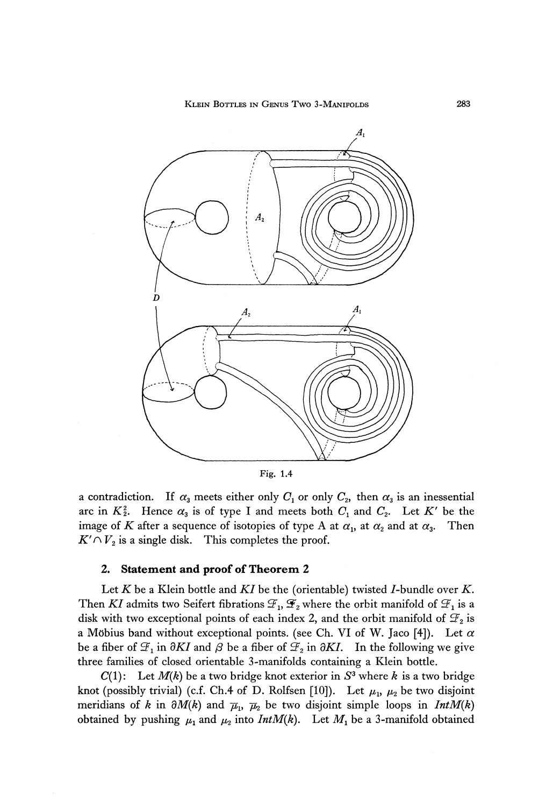KLEIN BOTTLES IN GENUS TWO 3-MANIFOLDS 283



a contradiction. If  $\alpha_3$  meets either only  $C_1$  or only  $C_2$ , then  $\alpha_3$  is an inessential arc in  $K_2^2$ . Hence  $\alpha_3$  is of type I and meets both  $C_1$  and  $C_2$ . Let  $K'$  be the image of  $K$  after a sequence of isotopies of type A at  $\alpha_{\text{\tiny 1}}$  at  $\alpha_{\text{\tiny 2}}$  and at  $\alpha_{\text{\tiny 3}}$ *.* Then  $K' \cap V_2$  is a single disk. This completes the proof.

### **2. Statement and proof of Theorem 2**

Let *K* be a Klein bottle and *KI* be the (orientable) twisted /-bundle over *K.* Then  $KI$  admits two Seifert fibrations  $\mathcal{F}_{1}$ ,  $\mathcal{F}_{2}$  where the orbit manifold of  $\mathcal{F}_{1}$  is a disk with two exceptional points of each index 2, and the orbit manifold of  $\mathcal{F}_{\text{2}}$  is a Möbius band without exceptional points. (see Ch. VI of W. Jaco [4]). Let  $\alpha$ be a fiber of  $\mathcal{F}_1$  in  $\partial K I$  and  $\beta$  be a fiber of  $\mathcal{F}_2$  in  $\partial K I$ . In the following we give three families of closed orientable 3-manifolds containing a Klein bottle.

 $C(1)$ : Let  $M(k)$  be a two bridge knot exterior in  $S<sup>3</sup>$  where k is a two bridge knot (possibly trivial) (c.f. Ch.4 of D. Rolfsen [10]). Let  $μ$ <sub>1</sub>,  $μ$ <sub>2</sub> be two disjoint meridians of *k* in  $\partial M(k)$  and  $\overline{\mu}_1$ ,  $\overline{\mu}_2$  be two disjoint simple loops in *IntM(k)* obtained by pushing  $\mu_1$  and  $\mu_2$  into  $IntM(k)$ . Let  $M_1$  be a 3-manifold obtained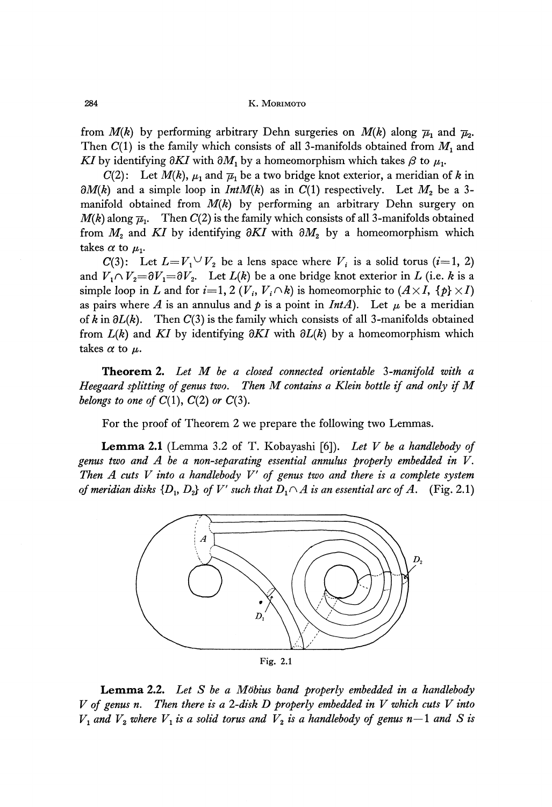284 K. MORIMOTO

from  $M(k)$  by performing arbitrary Dehn surgeries on  $M(k)$  along  $\overline{\mu}_1$  and  $\overline{\mu}_2$ . Then  $C(1)$  is the family which consists of all 3-manifolds obtained from  $M_1$  and *KI* by identifying  $\partial K I$  with  $\partial M_{1}$  by a homeomorphism which takes  $\beta$  to  $\mu_{1}$ .

*C(2)*: Let  $M(k)$ ,  $\mu_1$  and  $\overline{\mu}_1$  be a two bridge knot exterior, a meridian of k in  $\partial M(k)$  and a simple loop in  $Int M(k)$  as in  $C(1)$  respectively. Let  $M_2$  be a 3 manifold obtained from *M(k)* by performing an arbitrary Dehn surgery on  $M(k)$  along  $\overline{\mu}_1$ . Then  $C(2)$  is the family which consists of all 3-manifolds obtained from *M<sup>2</sup>* and *KI* by identifying *dKI* with *dM<sup>2</sup>* by a homeomorphism which takes  $\alpha$  to  $\mu_1$ .

 $C(3)$ : Let  $L=V_1 \vee V_2$  be a lens space where  $V_i$  is a solid torus  $(i=1, 2)$ and  $V_1 \cap V_2 { = }\partial V_1 { = }\partial V_2.$  Let  $L(k)$  be a one bridge knot exterior in  $L$  (i.e.  $k$  is a simple loop in *L* and for  $i=1, 2$  ( $V_i$ ,  $V_i \cap k$ ) is homeomorphic to  $(A \times I, \{p\} \times I)$ as pairs where A is an annulus and  $p$  is a point in *IntA*). Let  $\mu$  be a meridian of  $k$  in  $\partial L(k)$ . Then  $C(3)$  is the family which consists of all 3-manifolds obtained from *L{k)* and *KI* by identifying *dKI* with *dL(k)* by a homeomorphism which takes  $\alpha$  to  $\mu$ .

Theorem 2. Let M be a closed connected orientable 3-manifold with a *Heegaard splitting of genus two. Then M contains a Klein bottle if and only if M belongs to one of*  $C(1)$ ,  $C(2)$  or  $C(3)$ .

For the proof of Theorem 2 we prepare the following two Lemmas.

Lemma 2.1 (Lemma 3.2 of T. Kobayashi [6]). *Let V be a handlebody of genus two and A be a non-separating essential annulus properly embedded in V. Then A cuts V into a handlebody V' of genus two and there is a complete system* of meridian disks  $\{D_{1},\,D_{2}\}$  of  $V'$  such that  $D_{1}\!\cap\! A$  is an essential arc of  $A.$   $\,$  (Fig. 2.1)



**Lemma 2.2.** *Let S be a Mϋbius band properly embedded in a handlebody V of genus n. Then there is a 2-disk D properly embedded in V which cuts V into*  $V_1$  and  $V_2$  where  $V_1$  is a solid torus and  $V_2$  is a handlebody of genus n $-1$  and  $S$  is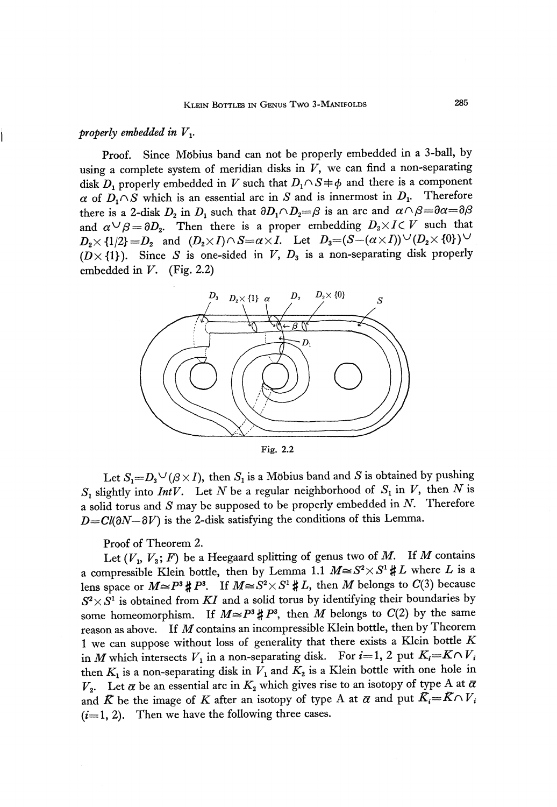## *properly embedded in V*<sup>*v*</sup>

Proof. Since Möbius band can not be properly embedded in a 3-ball, by using a complete system of meridian disks in  $V$ , we can find a non-separating disk  $D_1$  properly embedded in V such that  $D_1 \cap S \neq \emptyset$  and there is a component  $\alpha$  of  $D_1 \cap S$  which is an essential arc in S and is innermost in  $D_1$ . Therefore there is a 2-disk  $D_2$  in  $D_1$  such that  $\partial D_1 \cap D_2 = \beta$  is an arc and  $\alpha \cap \beta = \partial \alpha = \partial \beta$ and  $\alpha \cup \beta = \partial D_2$ . Then there is a proper embedding  $D_2 \times I \subset V$  such that  $D_2 \times \{1/2\} = D_2$  and  $(D_2 \times I) \cap S = \alpha \times I$ . Let  $D_3 = (S - (\alpha \times I)) \cup (D_2 \times \{0\}) \cup$  $(D \times \{1\})$ . Since S is one-sided in V,  $D_3$  is a non-separating disk properly embedded in *V.* (Fig. 2.2)



Fig. 2.2

Let  $S_1 = D_3 \cup (\beta \times I)$ , then  $S_1$  is a Möbius band and  $S$  is obtained by pushing  $S_1$  slightly into *IntV*. Let *N* be a regular neighborhood of  $S_1$  in *V*, then *N* is a solid torus and *S* may be supposed to be properly embedded in *N.* Therefore  $D=Cl(\partial N-\partial V)$  is the 2-disk satisfying the conditions of this Lemma.

Proof of Theorem 2.

Let  $(V_1, V_2; F)$  be a Heegaard splitting of genus two of M. If M contains a compressible Klein bottle, then by Lemma 1.1  $M \cong S^2 \times S^1 \sharp L$  where L is a lens space or  $M \approx P^3 \sharp P^3$ . If  $M \approx S^2 \times S^1 \sharp L$ , then M belongs to C(3) because  $S^2 \times S^1$  is obtained from  $KI$  and a solid torus by identifying their boundaries by some homeomorphism. If  $M \cong P^3 \,\sharp\, P^3$ , then  $M$  belongs to  $C(2)$  by the same reason as above. If *M* contains an incompressible Klein bottle, then by Theorem 1 we can suppose without loss of generality that there exists a Klein bottle *K* in *M* which intersects  $V_1$  in a non-separating disk. For  $i=1, 2$  put  $K_i=KNV_i$ then  $K_1$  is a non-separating disk in  $V_1$  and  $K_2$  is a Klein bottle with one hole in  $V_2$ . Let  $\alpha$  be an essential arc in  $K_2$  which gives rise to an isotopy of type A at  $\bar{\alpha}$ and  $\bar{K}$  be the image of  $K$  after an isotopy of type A at  $\bar{\alpha}$  and put  $\bar{K} = \bar{K} \cap V_i$  $(i=1, 2)$ . Then we have the following three cases.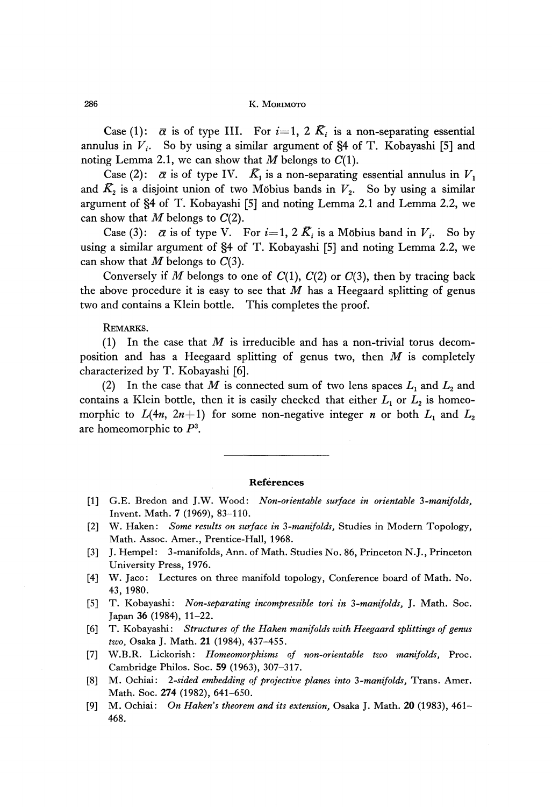Case (1):  $\bar{\alpha}$  is of type III. For  $i=1, 2$   $K_i$  is a non-separating essential annulus in *V{ .* So by using a similar argument of §4 of T. Kobayashi [5] and noting Lemma 2.1, we can show that  $M$  belongs to  $C(1)$ .

Case (2):  $\bar{\alpha}$  is of type IV.  $\bar{K}_1$  is a non-separating essential annulus in  $V_1$ and  $\bar{K_{2}}$  is a disjoint union of two Möbius bands in  $V_{2}.$  So by using a similar argument of §4 of T. Kobayashi [5] and noting Lemma 2.1 and Lemma 2.2, we can show that  $M$  belongs to  $C(2)$ .

Case (3):  $\bar{\alpha}$  is of type V. For  $i=1, 2$   $\bar{K}_i$  is a Möbius band in  $V_i$ . So by using a similar argument of §4 of T. Kobayashi [5] and noting Lemma 2.2, we can show that *M* belongs to C(3).

Conversely if M belongs to one of  $C(1)$ ,  $C(2)$  or  $C(3)$ , then by tracing back the above procedure it is easy to see that *M* has a Heegaard splitting of genus two and contains a Klein bottle. This completes the proof.

### REMARKS.

(1) In the case that *M* is irreducible and has a non-trivial torus decom position and has a Heegaard splitting of genus two, then *M* is completely characterized by T. Kobayashi [6].

(2) In the case that  $M$  is connected sum of two lens spaces  $L_1$  and  $L_2$  and contains a Klein bottle, then it is easily checked that either  $L_1$  or  $L_2$  is homeo morphic to  $L(4n, 2n+1)$  for some non-negative integer *n* or both  $L_1$  and  $L_2$ are homeomorphic to  $P^3$ .

#### **References**

- [1] G.E. Bredon and J.W. Wood: *Non-orientable surface in orientable 3-manifolds,* Invent. Math. 7 (1969), 83-110.
- [2] W. Haken: *Some results on surface in* 3 *-manifolds,* Studies in Modern Topology, Math. Assoc. Amer., Prentice-Hall, 1968.
- [3] J. Hempel: 3-manifolds, Ann. of Math. Studies No. 86, Princeton N.J., Princeton University Press, 1976.
- [4] W. Jaco: Lectures on three manifold topology, Conference board of Math. No. 43, 1980.
- [5] T. Kobayashi: *Non-separating incompressible tori in 3-manifolds,* J. Math. Soc. Japan 36 (1984), 11-22.
- [6] T. Kobayashi: *Structures of the Haken manifolds with Heegaard splittings of genus two,* Osaka J. Math. 21 (1984), 437-455.
- [7] W.B.R. Lickorish: *Homeomorphisms of non-orientable two manifolds,* Proc. Cambridge Philos. Soc. 59 (1963), 307-317.
- [8] M. Ochiai: *2-sided embedding of projective planes into* 3*-manifolds,* Trans. Amer. Math. Soc. **274** (1982), 641-650.
- [9] M. Ochiai: *On Haken<sup>3</sup> s theorem and its extension,* Osaka J. Math. 20 (1983), 461 468.